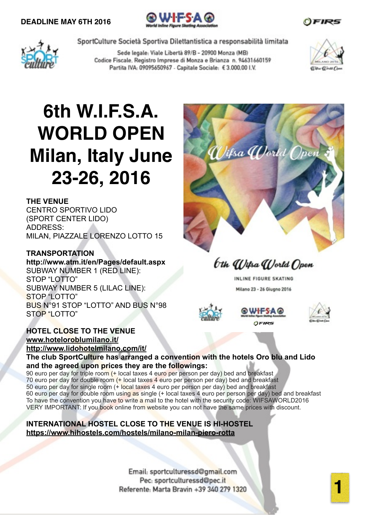



Sede legale: Viale Libertà 89/B - 20900 Monza (MB) Codice Fiscale, Registro Imprese di Monza e Brianza n. 94631660159 Partita IVA: 09095650967 - Capitale Sociale: € 3.000.00 I.V.



# **6th W.I.F.S.A. WORLD OPEN Milan, Italy June 23-26, 2016**

### **THE VENUE**

CENTRO SPORTIVO LIDO (SPORT CENTER LIDO) ADDRESS: MILAN, PIAZZALE LORENZO LOTTO 15

### **TRANSPORTATION**

**http://www.atm.it/en/Pages/default.aspx** SUBWAY NUMBER 1 (RED LINE): STOP "LOTTO" SUBWAY NUMBER 5 (LILAC LINE): STOP "LOTTO" BUS N°91 STOP "LOTTO" AND BUS N°98 STOP "LOTTO"

## **HOTEL CLOSE TO THE VENUE [www.hoteloroblumilano.it/](http://www.hoteloroblumilano.it/) <http://www.lidohotelmilano.com/it/>**



bth Wilsa World Open

INLINE FIGURE SKATING Milano 23 - 26 Giugno 2016





**The club SportCulture has arranged a convention with the hotels Oro blu and Lido and the agreed upon prices they are the followings:** 

90 euro per day for triple room (+ local taxes 4 euro per person per day) bed and breakfast 70 euro per day for double room (+ local taxes 4 euro per person per day) bed and breakfast 50 euro per day for single room (+ local taxes 4 euro per person per day) bed and breakfast 60 euro per day for double room using as single (+ local taxes 4 euro per person per day) bed and breakfast To have the convention you have to write a mail to the hotel with the security code: WIFSAWORLD2016 VERY IMPORTANT: If you book online from website you can not have the same prices with discount.

**INTERNATIONAL HOSTEL CLOSE TO THE VENUE IS HI-HOSTEL <https://www.hihostels.com/hostels/milano-milan-piero-rotta>**

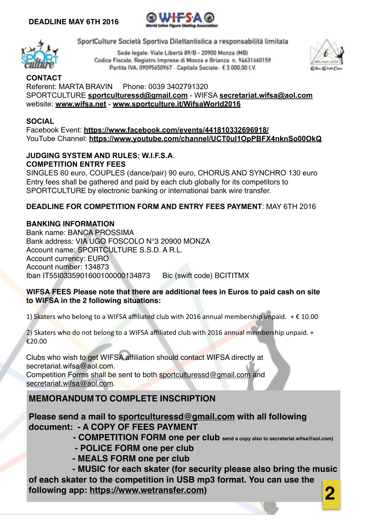



Sede legale: Viale Libertà 89/B - 20900 Monza (MB) Codice Fiscale, Registro Imprese di Monza e Brianza n. 94631660159 Partita IVA: 09095650967 - Capitale Sociale: € 3.000.00 I.V.



**CONTACT** Referent: MARTA BRAVIN Phone: 0039 3402791320 SPORTCULTURE **[sportculturessd@gmail.com](mailto:sportculturessd@gmail.com)** - WIFSA **[secretariat.wifsa@aol.com](mailto:secretariat.wifsa@aol.com)** website: **[www.wifsa.net](http://www.wifsa.net)** - **[www.sportculture.it/WifsaWorld2016](http://www.sportculture.it/WifsaWorld2016)**

## **SOCIAL**

Facebook Event: **<https://www.facebook.com/events/441810332696918/>** YouTube Channel: **<https://www.youtube.com/channel/UCT0uI1OpPBFX4nknSo00OkQ>**

### **JUDGING SYSTEM AND RULES: W.I.F.S.A**. **COMPETITION ENTRY FEES**

SINGLES 60 euro, COUPLES (dance/pair) 90 euro, CHORUS AND SYNCHRO 130 euro Entry fees shall be gathered and paid by each club globally for its competitors to SPORTCULTURE by electronic banking or international bank wire transfer.

## **DEADLINE FOR COMPETITION FORM AND ENTRY FEES PAYMENT**: MAY 6TH 2016

### **BANKING INFORMATION**

Bank name: BANCA PROSSIMA Bank address: VIA UGO FOSCOLO N°3 20900 MONZA Account name: SPORTCULTURE S.S.D. A R.L. Account currency: EURO Account number: 134873 Iban IT55I0335901600100000134873 Bic (swift code) BCITITMX

### **WIFSA FEES Please note that there are additional fees in Euros to paid cash on site to WIFSA in the 2 following situations:**

1) Skaters who belong to a WIFSA affiliated club with 2016 annual membership unpaid.  $+€10.00$ 

2) Skaters who do not belong to a WIFSA affiliated club with 2016 annual membership unpaid. + €20.00

Clubs who wish to get WIFSA affiliation should contact WIFSA directly at secretariat.wifsa@aol.com.

Competition Forms shall be sent to both [sportculturessd@gmail.com](mailto:sportculturessd@gmail.com) and [secretariat.wifsa@aol.com](mailto:secretariat.wifsa@aol.com).

# **MEMORANDUM TO COMPLETE INSCRIPTION! ! ! ! !**

**Please send a mail to [sportculturessd@gmail.com](mailto:sportculturessd@gmail.com) with all following document: - A COPY OF FEES PAYMENT ! !**

**! ! - COMPETITION FORM one per club send a copy also to secretariat.wifsa@aol.com)**

- **POLICE FORM one per club! ! ! ! ! !**
- **MEALS FORM one per club ! ! ! ! !**

 **- MUSIC for each skater (for security please also bring the music of each skater to the competition in USB mp3 format. You can use the following app: [https://www.wetransfer.com\)](https://www.wetransfer.com)**

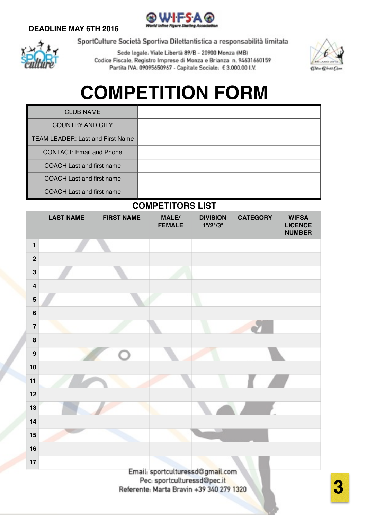# **DEADLINE MAY 6TH 2016**





SportCulture Società Sportiva Dilettantistica a responsabilità limitata

Sede legale: Viale Libertà 89/B - 20900 Monza (MB) Codice Fiscale, Registro Imprese di Monza e Brianza n. 94631660159 Partita IVA: 09095650967 - Capitale Sociale: € 3.000.00 I.V.



# **COMPETITION FORM**

| <b>CLUB NAME</b>                        |  |
|-----------------------------------------|--|
| <b>COUNTRY AND CITY</b>                 |  |
| <b>TEAM LEADER: Last and First Name</b> |  |
| <b>CONTACT: Email and Phone</b>         |  |
| <b>COACH Last and first name</b>        |  |
| <b>COACH Last and first name</b>        |  |
| <b>COACH Last and first name</b>        |  |

# **COMPETITORS LIST**

|                         |                  |                   | <u>UUNIFLIIIUNU LIJI</u> |                                                    |                 |                                                 |
|-------------------------|------------------|-------------------|--------------------------|----------------------------------------------------|-----------------|-------------------------------------------------|
|                         | <b>LAST NAME</b> | <b>FIRST NAME</b> | MALE/<br><b>FEMALE</b>   | <b>DIVISION</b><br>$1^{\circ}/2^{\circ}/3^{\circ}$ | <b>CATEGORY</b> | <b>WIFSA</b><br><b>LICENCE</b><br><b>NUMBER</b> |
| $\mathbf{1}$            |                  |                   |                          |                                                    |                 |                                                 |
| $\overline{\mathbf{2}}$ |                  |                   |                          |                                                    |                 |                                                 |
| $\mathbf{3}$            |                  |                   |                          |                                                    |                 |                                                 |
| $\overline{\mathbf{4}}$ |                  |                   |                          |                                                    |                 |                                                 |
| $\overline{\mathbf{5}}$ |                  |                   |                          |                                                    |                 |                                                 |
| $6\phantom{1}$          |                  |                   |                          |                                                    |                 |                                                 |
| $\overline{7}$          |                  |                   |                          |                                                    |                 |                                                 |
| 8                       |                  |                   |                          |                                                    |                 |                                                 |
| 9                       |                  |                   |                          |                                                    |                 |                                                 |
| 10                      |                  |                   |                          |                                                    |                 |                                                 |
| 11                      |                  |                   |                          |                                                    |                 |                                                 |
| 12                      |                  |                   |                          |                                                    |                 |                                                 |
| 13                      |                  |                   |                          |                                                    |                 |                                                 |
| 14                      |                  |                   |                          |                                                    |                 |                                                 |
| 15                      |                  |                   |                          |                                                    |                 |                                                 |
| 16                      |                  |                   |                          |                                                    |                 |                                                 |
| 17                      |                  |                   |                          |                                                    |                 |                                                 |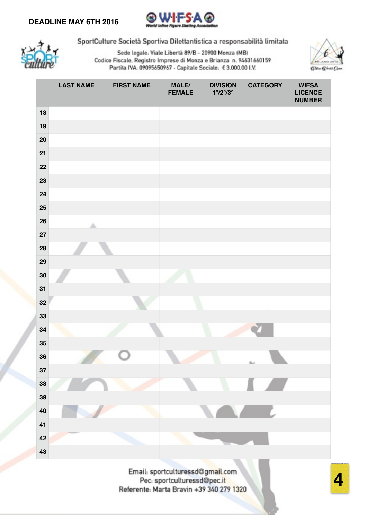



Sede legale: Viale Libertà 89/B - 20900 Monza (MB) Codice Fiscale, Registro Imprese di Monza e Brianza n. 94631660159 Partita IVA: 09095650967 - Capitale Sociale: € 3.000.00 I.V.



|                 | <b>LAST NAME</b> | <b>FIRST NAME</b> | MALE/<br><b>FEMALE</b> | <b>DIVISION</b><br>$1^{\circ}/2^{\circ}/3^{\circ}$ | <b>CATEGORY</b> | <b>WIFSA</b><br><b>LICENCE</b><br><b>NUMBER</b> |
|-----------------|------------------|-------------------|------------------------|----------------------------------------------------|-----------------|-------------------------------------------------|
| 18              |                  |                   |                        |                                                    |                 |                                                 |
| 19              |                  |                   |                        |                                                    |                 |                                                 |
| 20              |                  |                   |                        |                                                    |                 |                                                 |
| 21              |                  |                   |                        |                                                    |                 |                                                 |
| 22              |                  |                   |                        |                                                    |                 |                                                 |
| 23              |                  |                   |                        |                                                    |                 |                                                 |
| 24              |                  |                   |                        |                                                    |                 |                                                 |
| 25              |                  |                   |                        |                                                    |                 |                                                 |
| 26              |                  |                   |                        |                                                    |                 |                                                 |
| 27              |                  |                   |                        |                                                    |                 |                                                 |
| 28              |                  |                   |                        |                                                    |                 |                                                 |
| 29              |                  |                   |                        |                                                    |                 |                                                 |
| 30              |                  |                   |                        |                                                    |                 |                                                 |
| 31              |                  |                   |                        |                                                    |                 |                                                 |
| 32              |                  |                   |                        |                                                    |                 |                                                 |
| 33              |                  |                   |                        |                                                    |                 |                                                 |
| 34              |                  |                   |                        |                                                    |                 |                                                 |
| $35\phantom{a}$ |                  |                   |                        |                                                    |                 |                                                 |
| 36              |                  |                   |                        |                                                    | th.)            |                                                 |
| 37              |                  |                   |                        |                                                    |                 |                                                 |
| 38              |                  |                   |                        |                                                    |                 |                                                 |
| 39              |                  |                   |                        |                                                    |                 |                                                 |
| 40<br>41        |                  |                   |                        |                                                    |                 |                                                 |
| 42              |                  |                   |                        |                                                    |                 |                                                 |
|                 |                  |                   |                        |                                                    |                 |                                                 |
| 43              |                  |                   |                        |                                                    |                 |                                                 |

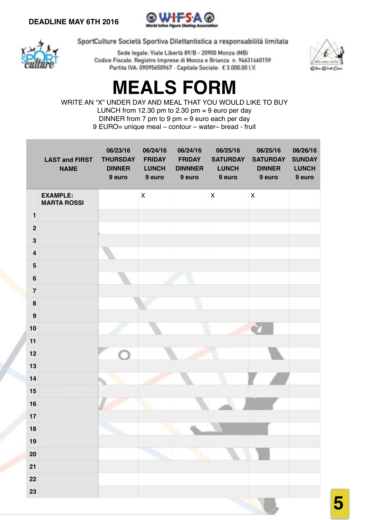



Sede legale: Viale Libertà 89/B - 20900 Monza (MB) Codice Fiscale, Registro Imprese di Monza e Brianza n. 94631660159 Partita IVA: 09095650967 - Capitale Sociale: € 3.000.00 I.V.



**5**

# **MEALS FORM**

WRITE AN "X" UNDER DAY AND MEAL THAT YOU WOULD LIKE TO BUY LUNCH from 12.30 pm to 2.30 pm = 9 euro per day DINNER from 7 pm to 9 pm = 9 euro each per day 9 EURO= unique meal – contour – water– bread - fruit

|                         | <b>LAST and FIRST</b><br><b>NAME</b>  | 06/23/16<br><b>THURSDAY</b><br><b>DINNER</b><br>9 euro | 06/24/16<br><b>FRIDAY</b><br><b>LUNCH</b><br>9 euro | 06/24/16<br><b>FRIDAY</b><br><b>DINNNER</b><br>9 euro | 06/25/16<br><b>SATURDAY</b><br><b>LUNCH</b><br>9 euro | 06/25/16<br><b>SATURDAY</b><br><b>DINNER</b><br>9 euro | 06/26/16<br><b>SUNDAY</b><br><b>LUNCH</b><br>9 euro |
|-------------------------|---------------------------------------|--------------------------------------------------------|-----------------------------------------------------|-------------------------------------------------------|-------------------------------------------------------|--------------------------------------------------------|-----------------------------------------------------|
|                         | <b>EXAMPLE:</b><br><b>MARTA ROSSI</b> |                                                        | $\pmb{\times}$                                      |                                                       | $\pmb{\mathsf{X}}$                                    | $\pmb{\times}$                                         |                                                     |
| $\mathbf{1}$            |                                       |                                                        |                                                     |                                                       |                                                       |                                                        |                                                     |
| $\mathbf{2}$            |                                       |                                                        |                                                     |                                                       |                                                       |                                                        |                                                     |
| $\mathbf{3}$            |                                       |                                                        |                                                     |                                                       |                                                       |                                                        |                                                     |
| $\overline{\mathbf{4}}$ |                                       |                                                        |                                                     |                                                       |                                                       |                                                        |                                                     |
| $5\phantom{.0}$         |                                       |                                                        |                                                     |                                                       |                                                       |                                                        |                                                     |
| $\bf 6$                 |                                       |                                                        |                                                     |                                                       |                                                       |                                                        |                                                     |
| $\overline{7}$          |                                       |                                                        |                                                     |                                                       |                                                       |                                                        |                                                     |
| $\pmb{8}$               |                                       |                                                        |                                                     |                                                       |                                                       |                                                        |                                                     |
| $\boldsymbol{9}$        |                                       |                                                        |                                                     |                                                       |                                                       |                                                        |                                                     |
| 10                      |                                       |                                                        |                                                     |                                                       |                                                       |                                                        |                                                     |
| 11                      |                                       |                                                        |                                                     |                                                       |                                                       |                                                        |                                                     |
| 12                      |                                       |                                                        |                                                     |                                                       |                                                       |                                                        |                                                     |
| 13<br>14                |                                       |                                                        |                                                     |                                                       |                                                       |                                                        |                                                     |
| 15                      |                                       |                                                        |                                                     |                                                       |                                                       |                                                        |                                                     |
| 16                      |                                       |                                                        |                                                     |                                                       |                                                       |                                                        |                                                     |
| 17                      |                                       |                                                        |                                                     |                                                       |                                                       |                                                        |                                                     |
| $18$                    |                                       |                                                        |                                                     |                                                       |                                                       |                                                        |                                                     |
| 19                      |                                       |                                                        |                                                     |                                                       |                                                       |                                                        |                                                     |
| $20\,$                  |                                       |                                                        |                                                     |                                                       |                                                       |                                                        |                                                     |
| 21                      |                                       |                                                        |                                                     |                                                       |                                                       |                                                        |                                                     |
| 22                      |                                       |                                                        |                                                     |                                                       |                                                       |                                                        |                                                     |
| 23                      |                                       |                                                        |                                                     |                                                       |                                                       |                                                        |                                                     |
|                         |                                       |                                                        |                                                     |                                                       |                                                       |                                                        |                                                     |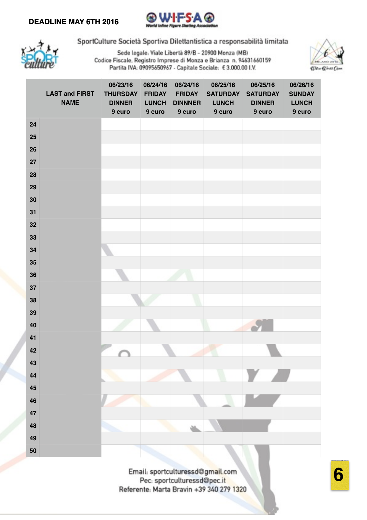



Sede legale: Viale Libertà 89/B - 20900 Monza (MB) Codice Fiscale, Registro Imprese di Monza e Brianza n. 94631660159 Partita IVA: 09095650967 - Capitale Sociale: € 3.000.00 I.V.



|    | <b>LAST and FIRST</b><br><b>NAME</b> | 06/23/16<br><b>THURSDAY</b><br><b>DINNER</b><br>9 euro | 06/24/16<br><b>FRIDAY</b><br><b>LUNCH</b><br>9 euro | 06/24/16<br><b>FRIDAY</b><br><b>DINNNER</b><br>9 euro | 06/25/16<br><b>SATURDAY</b><br><b>LUNCH</b><br>9 euro | 06/25/16<br><b>SATURDAY</b><br><b>DINNER</b><br>9 euro | 06/26/16<br><b>SUNDAY</b><br><b>LUNCH</b><br>9 euro |
|----|--------------------------------------|--------------------------------------------------------|-----------------------------------------------------|-------------------------------------------------------|-------------------------------------------------------|--------------------------------------------------------|-----------------------------------------------------|
| 24 |                                      |                                                        |                                                     |                                                       |                                                       |                                                        |                                                     |
| 25 |                                      |                                                        |                                                     |                                                       |                                                       |                                                        |                                                     |
| 26 |                                      |                                                        |                                                     |                                                       |                                                       |                                                        |                                                     |
| 27 |                                      |                                                        |                                                     |                                                       |                                                       |                                                        |                                                     |
| 28 |                                      |                                                        |                                                     |                                                       |                                                       |                                                        |                                                     |
| 29 |                                      |                                                        |                                                     |                                                       |                                                       |                                                        |                                                     |
| 30 |                                      |                                                        |                                                     |                                                       |                                                       |                                                        |                                                     |
| 31 |                                      |                                                        |                                                     |                                                       |                                                       |                                                        |                                                     |
| 32 |                                      |                                                        |                                                     |                                                       |                                                       |                                                        |                                                     |
| 33 |                                      |                                                        |                                                     |                                                       |                                                       |                                                        |                                                     |
| 34 |                                      |                                                        |                                                     |                                                       |                                                       |                                                        |                                                     |
| 35 |                                      |                                                        |                                                     |                                                       |                                                       |                                                        |                                                     |
| 36 |                                      |                                                        |                                                     |                                                       |                                                       |                                                        |                                                     |
| 37 |                                      |                                                        |                                                     |                                                       |                                                       |                                                        |                                                     |
| 38 |                                      |                                                        |                                                     |                                                       |                                                       |                                                        |                                                     |
| 39 |                                      |                                                        |                                                     |                                                       |                                                       |                                                        |                                                     |
| 40 |                                      |                                                        |                                                     |                                                       |                                                       |                                                        |                                                     |
| 41 |                                      |                                                        |                                                     |                                                       |                                                       |                                                        |                                                     |
| 42 |                                      |                                                        |                                                     |                                                       |                                                       |                                                        |                                                     |
| 43 |                                      |                                                        |                                                     |                                                       |                                                       |                                                        |                                                     |
| 44 |                                      |                                                        |                                                     |                                                       |                                                       |                                                        |                                                     |
| 45 |                                      |                                                        |                                                     |                                                       |                                                       |                                                        |                                                     |
| 46 |                                      |                                                        |                                                     |                                                       |                                                       |                                                        |                                                     |
| 47 |                                      |                                                        |                                                     |                                                       |                                                       |                                                        |                                                     |
| 48 |                                      |                                                        |                                                     |                                                       |                                                       |                                                        |                                                     |
| 49 |                                      |                                                        |                                                     |                                                       |                                                       |                                                        |                                                     |
| 50 |                                      |                                                        |                                                     |                                                       |                                                       |                                                        |                                                     |

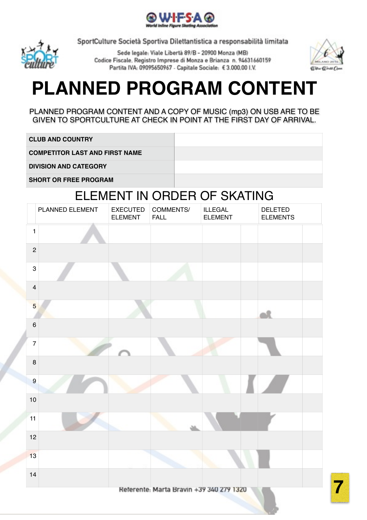



Sede legale: Viale Libertà 89/B - 20900 Monza (MB) Codice Fiscale, Registro Imprese di Monza e Brianza n. 94631660159 Partita IVA: 09095650967 - Capitale Sociale: €3.000.00 I.V.



# **PLANNED PROGRAM CONTENT**

PLANNED PROGRAM CONTENT AND A COPY OF MUSIC (mp3) ON USB ARE TO BE GIVEN TO SPORTCULTURE AT CHECK IN POINT AT THE FIRST DAY OF ARRIVAL.

**CLUB AND COUNTRY**

**COMPETITOR LAST AND FIRST NAME**

**DIVISION AND CATEGORY**

**SHORT OR FREE PROGRAM**

# ELEMENT IN ORDER OF SKATING

|                           | PLANNED ELEMENT | <b>EXECUTED</b><br><b>ELEMENT</b> | COMMENTS/<br><b>FALL</b>                 | <b>ILLEGAL</b><br><b>ELEMENT</b> | <b>DELETED</b><br><b>ELEMENTS</b> |
|---------------------------|-----------------|-----------------------------------|------------------------------------------|----------------------------------|-----------------------------------|
| $\mathbf{1}$              |                 |                                   |                                          |                                  |                                   |
| $\overline{c}$            |                 |                                   |                                          |                                  |                                   |
| $\ensuremath{\mathsf{3}}$ |                 |                                   |                                          |                                  |                                   |
| $\overline{\mathbf{4}}$   |                 |                                   |                                          |                                  |                                   |
| $\overline{5}$            |                 |                                   |                                          |                                  |                                   |
| $\,6\,$                   |                 |                                   |                                          |                                  |                                   |
| $\overline{7}$            |                 |                                   |                                          |                                  |                                   |
| $\bf 8$                   |                 |                                   |                                          |                                  |                                   |
| $\overline{9}$            |                 |                                   |                                          |                                  |                                   |
| 10                        |                 |                                   |                                          |                                  |                                   |
| 11                        |                 |                                   |                                          |                                  |                                   |
| 12                        |                 |                                   |                                          |                                  |                                   |
| 13                        |                 |                                   |                                          |                                  |                                   |
| 14                        |                 |                                   |                                          |                                  |                                   |
|                           |                 |                                   | Referente: Marta Bravin +39 340 279 1320 |                                  |                                   |

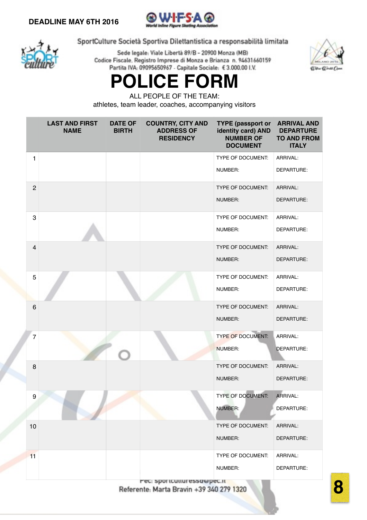



Sede legale: Viale Libertà 89/B - 20900 Monza (MB) Codice Fiscale, Registro Imprese di Monza e Brianza n. 94631660159 Partita IVA: 09095650967 - Capitale Sociale: € 3.000.00 I.V.



# **POLICE FORM**

ALL PEOPLE OF THE TEAM:

athletes, team leader, coaches, accompanying visitors

|                 | <b>LAST AND FIRST</b><br><b>NAME</b> | <b>DATE OF</b><br><b>BIRTH</b> | <b>COUNTRY, CITY AND</b><br><b>ADDRESS OF</b><br><b>RESIDENCY</b> | TYPE (passport or ARRIVAL AND<br>identity card) AND<br><b>NUMBER OF</b><br><b>DOCUMENT</b> | <b>DEPARTURE</b><br><b>TO AND FROM</b><br><b>ITALY</b> |
|-----------------|--------------------------------------|--------------------------------|-------------------------------------------------------------------|--------------------------------------------------------------------------------------------|--------------------------------------------------------|
| $\mathbf{1}$    |                                      |                                |                                                                   | TYPE OF DOCUMENT:                                                                          | ARRIVAL:                                               |
|                 |                                      |                                |                                                                   | NUMBER:                                                                                    | DEPARTURE:                                             |
| $\overline{c}$  |                                      |                                |                                                                   | TYPE OF DOCUMENT:                                                                          | ARRIVAL:                                               |
|                 |                                      |                                |                                                                   | NUMBER:                                                                                    | DEPARTURE:                                             |
| 3               |                                      |                                |                                                                   | TYPE OF DOCUMENT:                                                                          | ARRIVAL:                                               |
|                 |                                      |                                |                                                                   | NUMBER:                                                                                    | DEPARTURE:                                             |
| $\overline{4}$  |                                      |                                |                                                                   | TYPE OF DOCUMENT:                                                                          | ARRIVAL:                                               |
|                 |                                      |                                |                                                                   | NUMBER:                                                                                    | DEPARTURE:                                             |
| 5               |                                      |                                |                                                                   | TYPE OF DOCUMENT:                                                                          | ARRIVAL:                                               |
|                 |                                      |                                |                                                                   | NUMBER:                                                                                    | DEPARTURE:                                             |
| $6\phantom{1}6$ |                                      |                                |                                                                   | TYPE OF DOCUMENT:                                                                          | ARRIVAL:                                               |
|                 |                                      |                                |                                                                   | NUMBER:                                                                                    | DEPARTURE:                                             |
| $\overline{7}$  |                                      |                                |                                                                   | <b>TYPE OF DOCUMENT:</b>                                                                   | ARRIVAL:                                               |
|                 |                                      |                                |                                                                   | NUMBER:                                                                                    | DEPARTURE:                                             |
| 8               |                                      |                                |                                                                   | TYPE OF DOCUMENT:                                                                          | ARRIVAL:                                               |
|                 |                                      |                                |                                                                   | NUMBER:                                                                                    | DEPARTURE:                                             |
| 9               |                                      |                                |                                                                   | TYPE OF DOCUMENT:                                                                          | ARRIVAL:                                               |
|                 |                                      |                                |                                                                   | <b>NUMBER:</b>                                                                             | DEPARTURE:                                             |
| 10              |                                      |                                |                                                                   | TYPE OF DOCUMENT:                                                                          | ARRIVAL:                                               |
|                 |                                      |                                |                                                                   | NUMBER:                                                                                    | DEPARTURE:                                             |
| 11              |                                      |                                |                                                                   | <b>TYPE OF DOCUMENT:</b>                                                                   | ARRIVAL:                                               |
|                 |                                      |                                |                                                                   | NUMBER:                                                                                    | DEPARTURE:                                             |
|                 |                                      |                                | Fec: sportcutturessawpec.it                                       |                                                                                            |                                                        |

Referente: Marta Bravin +39 340 279 1320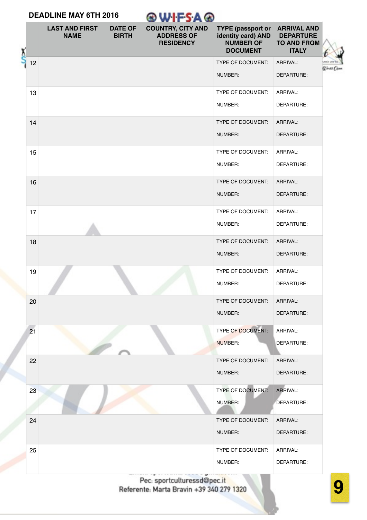#### **DEADLINE MAY 6TH 2016 @WIFSA@ LAST AND FIRST DATE OF COUNTRY, CITY AND TYPE (passport or ARRIVAL AND DEPARTURE BIRTH ADDRESS OF identity card) AND NAME RESIDENCY NUMBER OF TO AND FROM DOCUMENT ITALY** 12 TYPE OF DOCUMENT: ARRIVAL: armac Cr NUMBER: DEPARTURE: 13 TYPE OF DOCUMENT: ARRIVAL: DEPARTURE: NUMBER: **14** TYPE OF DOCUMENT: ARRIVAL: NUMBER: DEPARTURE: 15 TYPE OF DOCUMENT: ARRIVAL: NUMBER: DEPARTURE: **16** TYPE OF DOCUMENT: ARRIVAL: NUMBER: DEPARTURE: 17 TYPE OF DOCUMENT: ARRIVAL: NUMBER: DEPARTURE: 18 TYPE OF DOCUMENT: ARRIVAL: DEPARTURE: NUMBER: 19 TYPE OF DOCUMENT: ARRIVAL: DEPARTURE: NUMBER: 20 TYPE OF DOCUMENT: ARRIVAL: NUMBER: DEPARTURE: **21** TYPE OF DOCUMENT: ARRIVAL: NUMBER: DEPARTURE: 22 TYPE OF DOCUMENT: ARRIVAL: NUMBER: DEPARTURE: 23 TYPE OF DOCUMENT: ARRIVAL: NUMBER: DEPARTURE: **24 TYPE OF DOCUMENT:** ARRIVAL: DEPARTURE: NUMBER: 25 TYPE OF DOCUMENT: ARRIVAL: NUMBER: DEPARTURE:

Pec: sportculturessd@pec.it Referente: Marta Bravin +39 340 279 1320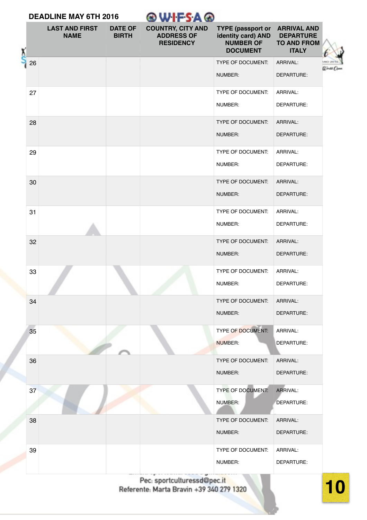| <b>DEADLINE MAY 6TH 2016</b> |    |                                      |                                | ®WIFSA®                                                           |                                                                                       |                                                                              |            |
|------------------------------|----|--------------------------------------|--------------------------------|-------------------------------------------------------------------|---------------------------------------------------------------------------------------|------------------------------------------------------------------------------|------------|
|                              |    | <b>LAST AND FIRST</b><br><b>NAME</b> | <b>DATE OF</b><br><b>BIRTH</b> | <b>COUNTRY, CITY AND</b><br><b>ADDRESS OF</b><br><b>RESIDENCY</b> | <b>TYPE (passport or</b><br>identity card) AND<br><b>NUMBER OF</b><br><b>DOCUMENT</b> | <b>ARRIVAL AND</b><br><b>DEPARTURE</b><br><b>TO AND FROM</b><br><b>ITALY</b> |            |
|                              | 26 |                                      |                                |                                                                   | TYPE OF DOCUMENT:                                                                     | ARRIVAL:                                                                     |            |
|                              |    |                                      |                                |                                                                   | NUMBER:                                                                               | DEPARTURE:                                                                   | Ulrati Oso |
|                              | 27 |                                      |                                |                                                                   | TYPE OF DOCUMENT:                                                                     | ARRIVAL:                                                                     |            |
|                              |    |                                      |                                |                                                                   | NUMBER:                                                                               | DEPARTURE:                                                                   |            |
|                              | 28 |                                      |                                |                                                                   | TYPE OF DOCUMENT:                                                                     | ARRIVAL:                                                                     |            |
|                              |    |                                      |                                |                                                                   | NUMBER:                                                                               | DEPARTURE:                                                                   |            |
|                              | 29 |                                      |                                |                                                                   | TYPE OF DOCUMENT:                                                                     | ARRIVAL:                                                                     |            |
|                              |    |                                      |                                |                                                                   | NUMBER:                                                                               | DEPARTURE:                                                                   |            |
|                              | 30 |                                      |                                |                                                                   | <b>TYPE OF DOCUMENT:</b>                                                              | ARRIVAL:                                                                     |            |
|                              |    |                                      |                                |                                                                   | NUMBER:                                                                               | DEPARTURE:                                                                   |            |
|                              | 31 |                                      |                                |                                                                   | <b>TYPE OF DOCUMENT:</b>                                                              | ARRIVAL:                                                                     |            |
|                              |    |                                      |                                |                                                                   | NUMBER:                                                                               | DEPARTURE:                                                                   |            |
|                              | 32 |                                      |                                |                                                                   | TYPE OF DOCUMENT:                                                                     | ARRIVAL:                                                                     |            |
|                              |    |                                      |                                |                                                                   | NUMBER:                                                                               | DEPARTURE:                                                                   |            |
|                              | 33 |                                      |                                |                                                                   | <b>TYPE OF DOCUMENT:</b>                                                              | ARRIVAL:                                                                     |            |
|                              |    |                                      |                                |                                                                   | NUMBER:                                                                               | DEPARTURE:                                                                   |            |
|                              | 34 |                                      |                                |                                                                   | TYPE OF DOCUMENT:                                                                     | ARRIVAL:                                                                     |            |
|                              |    |                                      |                                |                                                                   | NUMBER:                                                                               | DEPARTURE:                                                                   |            |
|                              | 35 |                                      |                                |                                                                   | TYPE OF DOCUMENT:                                                                     | ARRIVAL:                                                                     |            |
|                              |    |                                      |                                |                                                                   | NUMBER:                                                                               | DEPARTURE:                                                                   |            |
|                              | 36 |                                      |                                |                                                                   | TYPE OF DOCUMENT:                                                                     | ARRIVAL:                                                                     |            |
|                              |    |                                      |                                |                                                                   | NUMBER:                                                                               | DEPARTURE:                                                                   |            |
|                              | 37 |                                      |                                |                                                                   | TYPE OF DOCUMENT:                                                                     | ARRIVAL:                                                                     |            |
|                              |    |                                      |                                |                                                                   | NUMBER:                                                                               | DEPARTURE:                                                                   |            |
|                              | 38 |                                      |                                |                                                                   | TYPE OF DOCUMENT:                                                                     | ARRIVAL:                                                                     |            |
|                              |    |                                      |                                |                                                                   | NUMBER:                                                                               | DEPARTURE:                                                                   |            |
|                              | 39 |                                      |                                |                                                                   | TYPE OF DOCUMENT:                                                                     | ARRIVAL:                                                                     |            |
|                              |    |                                      |                                |                                                                   | NUMBER:                                                                               | DEPARTURE:                                                                   |            |
|                              |    |                                      |                                |                                                                   |                                                                                       |                                                                              |            |

Pec: sportculturessd@pec.it<br>Referente: Marta Bravin +39 340 279 1320